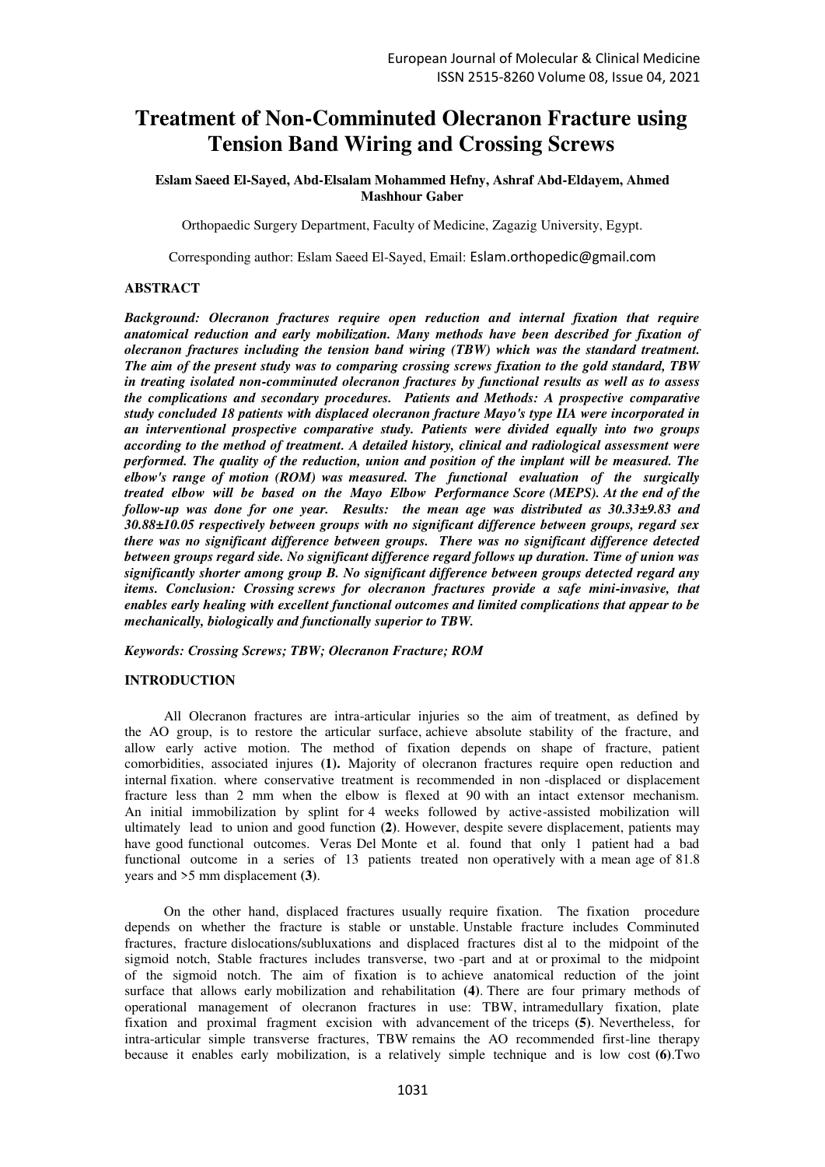# **Treatment of Non-Comminuted Olecranon Fracture using Tension Band Wiring and Crossing Screws**

**Eslam Saeed El-Sayed, Abd-Elsalam Mohammed Hefny, Ashraf Abd-Eldayem, Ahmed Mashhour Gaber** 

Orthopaedic Surgery Department, Faculty of Medicine, Zagazig University, Egypt.

Corresponding author: Eslam Saeed El-Sayed, Email: [Eslam.orthopedic@gmail.com](mailto:Eslam.orthopedic@gmail.com)

## **ABSTRACT**

*Background: Olecranon fractures require open reduction and internal fixation that require anatomical reduction and early mobilization. Many methods have been described for fixation of olecranon fractures including the tension band wiring (TBW) which was the standard treatment. The aim of the present study was to comparing crossing screws fixation to the gold standard, TBW in treating isolated non-comminuted olecranon fractures by functional results as well as to assess the complications and secondary procedures. Patients and Methods: A prospective comparative study concluded 18 patients with displaced olecranon fracture Mayo's type IIA were incorporated in an interventional prospective comparative study. Patients were divided equally into two groups according to the method of treatment. A detailed history, clinical and radiological assessment were performed. The quality of the reduction, union and position of the implant will be measured. The elbow's range of motion (ROM) was measured. The functional evaluation of the surgically treated elbow will be based on the Mayo Elbow Performance Score (MEPS). At the end of the follow-up was done for one year. Results: the mean age was distributed as 30.33±9.83 and 30.88±10.05 respectively between groups with no significant difference between groups, regard sex there was no significant difference between groups. There was no significant difference detected between groups regard side. No significant difference regard follows up duration. Time of union was significantly shorter among group B. No significant difference between groups detected regard any items. Conclusion: Crossing screws for olecranon fractures provide a safe mini-invasive, that enables early healing with excellent functional outcomes and limited complications that appear to be mechanically, biologically and functionally superior to TBW.* 

*Keywords: Crossing Screws; TBW; Olecranon Fracture; ROM* 

## **INTRODUCTION**

All Olecranon fractures are intra-articular injuries so the aim of treatment, as defined by the AO group, is to restore the articular surface, achieve absolute stability of the fracture, and allow early active motion. The method of fixation depends on shape of fracture, patient comorbidities, associated injures **(1).** Majority of olecranon fractures require open reduction and internal fixation. where conservative treatment is recommended in non -displaced or displacement fracture less than 2 mm when the elbow is flexed at 90 with an intact extensor mechanism. An initial immobilization by splint for 4 weeks followed by active-assisted mobilization will ultimately lead to union and good function **(2)**. However, despite severe displacement, patients may have good functional outcomes. Veras Del Monte et al. found that only 1 patient had a bad functional outcome in a series of 13 patients treated non operatively with a mean age of 81.8 years and >5 mm displacement **(3)**.

On the other hand, displaced fractures usually require fixation. The fixation procedure depends on whether the fracture is stable or unstable. Unstable fracture includes Comminuted fractures, fracture dislocations/subluxations and displaced fractures dist al to the midpoint of the sigmoid notch, Stable fractures includes transverse, two -part and at or proximal to the midpoint of the sigmoid notch. The aim of fixation is to achieve anatomical reduction of the joint surface that allows early mobilization and rehabilitation **(4)**. There are four primary methods of operational management of olecranon fractures in use: TBW, intramedullary fixation, plate fixation and proximal fragment excision with advancement of the triceps **(5)**. Nevertheless, for intra-articular simple transverse fractures, TBW remains the AO recommended first-line therapy because it enables early mobilization, is a relatively simple technique and is low cost **(6)**.Two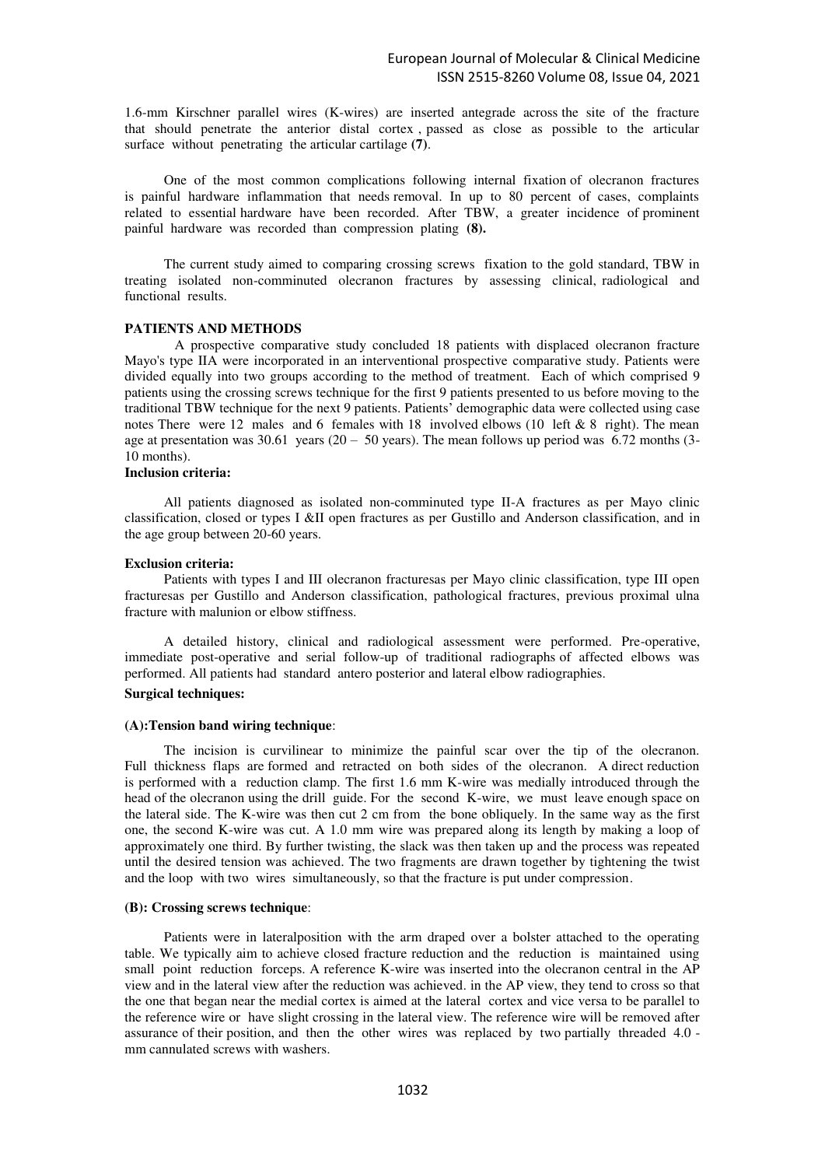1.6-mm Kirschner parallel wires (K-wires) are inserted antegrade across the site of the fracture that should penetrate the anterior distal cortex , passed as close as possible to the articular surface without penetrating the articular cartilage **(7)**.

One of the most common complications following internal fixation of olecranon fractures is painful hardware inflammation that needs removal. In up to 80 percent of cases, complaints related to essential hardware have been recorded. After TBW, a greater incidence of prominent painful hardware was recorded than compression plating **(8).**

The current study aimed to comparing crossing screws fixation to the gold standard, TBW in treating isolated non-comminuted olecranon fractures by assessing clinical, radiological and functional results.

## **PATIENTS AND METHODS**

A prospective comparative study concluded 18 patients with displaced olecranon fracture Mayo's type IIA were incorporated in an interventional prospective comparative study. Patients were divided equally into two groups according to the method of treatment. Each of which comprised 9 patients using the crossing screws technique for the first 9 patients presented to us before moving to the traditional TBW technique for the next 9 patients. Patients' demographic data were collected using case notes There were 12 males and 6 females with 18 involved elbows (10 left  $\&$  8 right). The mean age at presentation was  $30.61$  years (20 – 50 years). The mean follows up period was 6.72 months (3-10 months).

## **Inclusion criteria:**

All patients diagnosed as isolated non-comminuted type II-A fractures as per Mayo clinic classification, closed or types I &II open fractures as per Gustillo and Anderson classification, and in the age group between 20-60 years.

#### **Exclusion criteria:**

Patients with types I and III olecranon fracturesas per Mayo clinic classification, type III open fracturesas per Gustillo and Anderson classification, pathological fractures, previous proximal ulna fracture with malunion or elbow stiffness.

A detailed history, clinical and radiological assessment were performed. Pre-operative, immediate post-operative and serial follow-up of traditional radiographs of affected elbows was performed. All patients had standard antero posterior and lateral elbow radiographies.

# **Surgical techniques:**

## **(A):Tension band wiring technique**:

The incision is curvilinear to minimize the painful scar over the tip of the olecranon. Full thickness flaps are formed and retracted on both sides of the olecranon. A direct reduction is performed with a reduction clamp. The first 1.6 mm K-wire was medially introduced through the head of the olecranon using the drill guide. For the second K-wire, we must leave enough space on the lateral side. The K-wire was then cut 2 cm from the bone obliquely. In the same way as the first one, the second K-wire was cut. A 1.0 mm wire was prepared along its length by making a loop of approximately one third. By further twisting, the slack was then taken up and the process was repeated until the desired tension was achieved. The two fragments are drawn together by tightening the twist and the loop with two wires simultaneously, so that the fracture is put under compression.

#### **(B): Crossing screws technique**:

Patients were in lateralposition with the arm draped over a bolster attached to the operating table. We typically aim to achieve closed fracture reduction and the reduction is maintained using small point reduction forceps. A reference K-wire was inserted into the olecranon central in the AP view and in the lateral view after the reduction was achieved. in the AP view, they tend to cross so that the one that began near the medial cortex is aimed at the lateral cortex and vice versa to be parallel to the reference wire or have slight crossing in the lateral view. The reference wire will be removed after assurance of their position, and then the other wires was replaced by two partially threaded 4.0 mm cannulated screws with washers.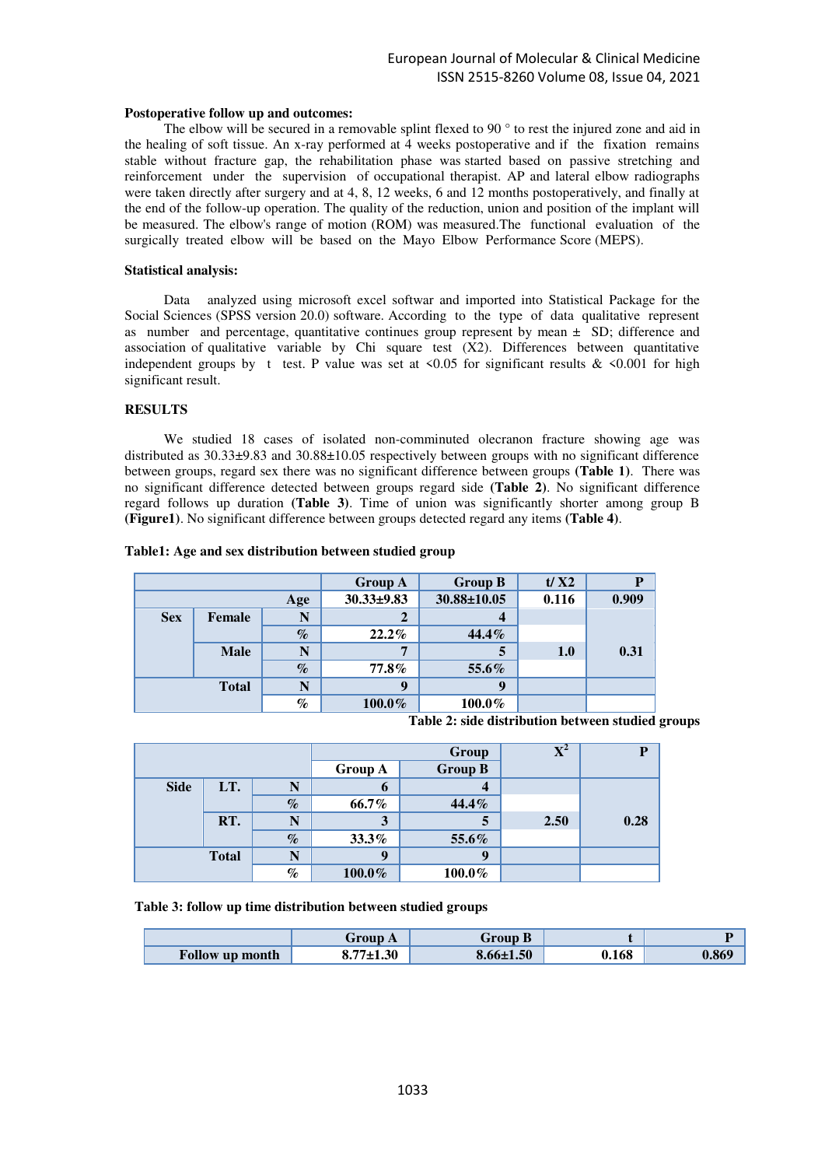#### **Postoperative follow up and outcomes:**

The elbow will be secured in a removable splint flexed to 90 ° to rest the injured zone and aid in the healing of soft tissue. An x-ray performed at  $\overline{4}$  weeks postoperative and if the fixation remains stable without fracture gap, the rehabilitation phase was started based on passive stretching and reinforcement under the supervision of occupational therapist. AP and lateral elbow radiographs were taken directly after surgery and at 4, 8, 12 weeks, 6 and 12 months postoperatively, and finally at the end of the follow-up operation. The quality of the reduction, union and position of the implant will be measured. The elbow's range of motion (ROM) was measured.The functional evaluation of the surgically treated elbow will be based on the Mayo Elbow Performance Score (MEPS).

## **Statistical analysis:**

Data analyzed using microsoft excel softwar and imported into Statistical Package for the Social Sciences (SPSS version 20.0) software. According to the type of data qualitative represent as number and percentage, quantitative continues group represent by mean ± SD; difference and association of qualitative variable by Chi square test  $(X2)$ . Differences between quantitative independent groups by t test. P value was set at  $\leq 0.05$  for significant results &  $\leq 0.001$  for high significant result.

## **RESULTS**

We studied 18 cases of isolated non-comminuted olecranon fracture showing age was distributed as 30.33±9.83 and 30.88±10.05 respectively between groups with no significant difference between groups, regard sex there was no significant difference between groups **(Table 1)**. There was no significant difference detected between groups regard side **(Table 2)**. No significant difference regard follows up duration **(Table 3)**. Time of union was significantly shorter among group B **(Figure1)**. No significant difference between groups detected regard any items **(Table 4)**.

|                   |             | <b>Group A</b>   | <b>Group B</b>    | t/X2  | P     |      |
|-------------------|-------------|------------------|-------------------|-------|-------|------|
| Age               |             | $30.33 \pm 9.83$ | $30.88 \pm 10.05$ | 0.116 | 0.909 |      |
| <b>Sex</b>        | Female      | N                |                   | 4     |       |      |
|                   |             | $\%$             | $22.2\%$          | 44.4% |       |      |
|                   | <b>Male</b> |                  | 7                 | 5     | 1.0   | 0.31 |
|                   |             | $\%$             | $77.8\%$          | 55.6% |       |      |
| N<br><b>Total</b> |             | 9                | 9                 |       |       |      |
| $\%$              |             | $100.0\%$        | 100.0%            |       |       |      |

#### **Table1: Age and sex distribution between studied group**

**Table 2: side distribution between studied groups**

|             |              | Group |                | $\mathbf{X}^{\mathbf{2}}$ | P    |      |
|-------------|--------------|-------|----------------|---------------------------|------|------|
|             |              |       | <b>Group A</b> | <b>Group B</b>            |      |      |
| <b>Side</b> | LT.          | N     | O              | 4                         |      |      |
|             |              | $\%$  | 66.7%          | 44.4%                     |      |      |
|             | RT.          | N     | 3              | 5                         | 2.50 | 0.28 |
|             |              | $\%$  | 33.3%          | 55.6%                     |      |      |
|             | <b>Total</b> | N     | q              | 9                         |      |      |
|             |              | $\%$  | $100.0\%$      | 100.0%                    |      |      |

**Table 3: follow up time distribution between studied groups** 

|                 | Group A                           | Group B         |       |       |
|-----------------|-----------------------------------|-----------------|-------|-------|
| Follow up month | $8.77 \pm 1.30$<br>O <sub>1</sub> | $8.66 \pm 1.50$ | ).168 | 0.869 |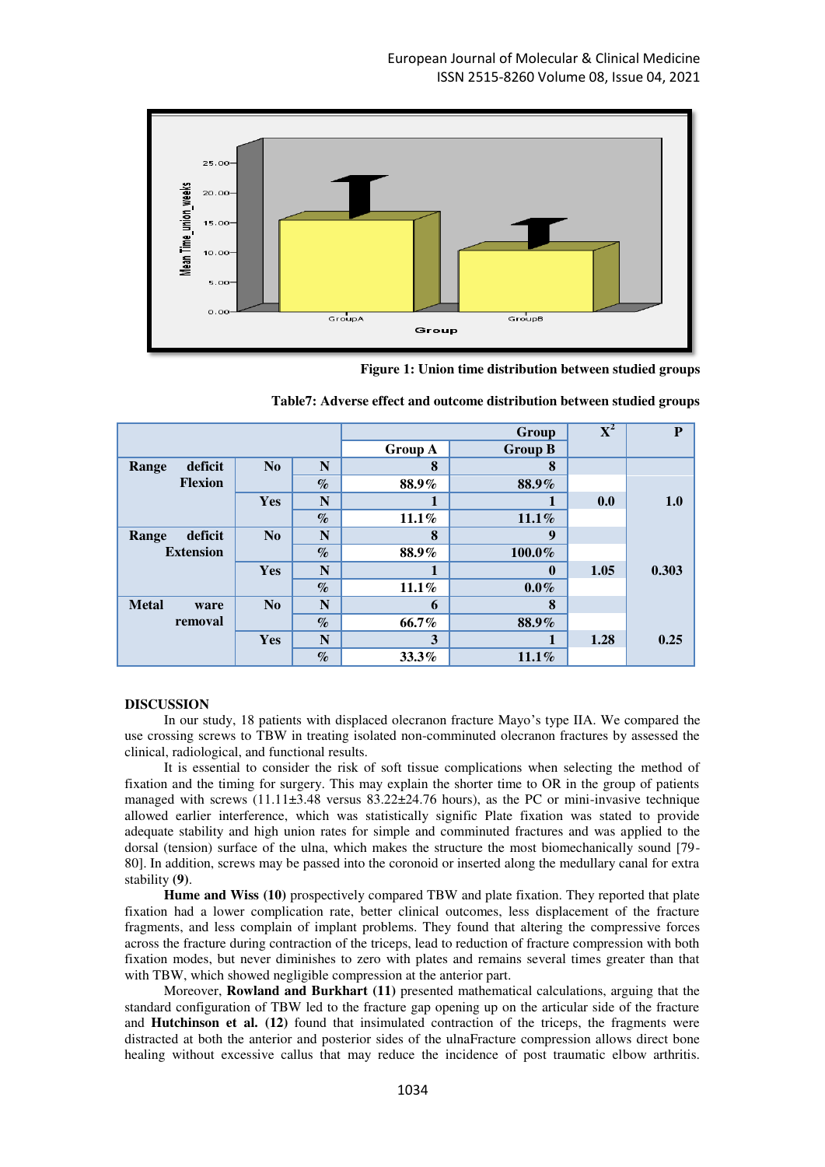

**Figure 1: Union time distribution between studied groups**

|                      |                |      | Group          |                  | $\overline{\textbf{X}^2}$ | P     |
|----------------------|----------------|------|----------------|------------------|---------------------------|-------|
|                      |                |      | <b>Group A</b> | <b>Group B</b>   |                           |       |
| deficit<br>Range     | N <sub>0</sub> | N    | 8              | 8                |                           |       |
| <b>Flexion</b>       |                | $\%$ | 88.9%          | 88.9%            |                           |       |
|                      | Yes            | N    |                | 1                | 0.0                       | 1.0   |
|                      |                | $\%$ | $11.1\%$       | 11.1%            |                           |       |
| deficit<br>Range     | N <sub>0</sub> | N    | 8              | $\boldsymbol{9}$ |                           |       |
| <b>Extension</b>     |                | $\%$ | 88.9%          | 100.0%           |                           |       |
|                      | Yes            | N    |                | $\boldsymbol{0}$ | 1.05                      | 0.303 |
|                      |                | $\%$ | $11.1\%$       | $0.0\%$          |                           |       |
| <b>Metal</b><br>ware | No             | N    | 6              | 8                |                           |       |
| removal              |                | $\%$ | 66.7%          | 88.9%            |                           |       |
|                      | Yes            | N    | 3              | 1                | 1.28                      | 0.25  |
|                      |                | $\%$ | $33.3\%$       | $11.1\%$         |                           |       |

| Table7: Adverse effect and outcome distribution between studied groups |  |  |  |  |  |
|------------------------------------------------------------------------|--|--|--|--|--|
|------------------------------------------------------------------------|--|--|--|--|--|

#### **DISCUSSION**

In our study, 18 patients with displaced olecranon fracture Mayo's type IIA. We compared the use crossing screws to TBW in treating isolated non-comminuted olecranon fractures by assessed the clinical, radiological, and functional results.

It is essential to consider the risk of soft tissue complications when selecting the method of fixation and the timing for surgery. This may explain the shorter time to OR in the group of patients managed with screws (11.11±3.48 versus 83.22±24.76 hours), as the PC or mini-invasive technique allowed earlier interference, which was statistically signific Plate fixation was stated to provide adequate stability and high union rates for simple and comminuted fractures and was applied to the dorsal (tension) surface of the ulna, which makes the structure the most biomechanically sound [79- 80]. In addition, screws may be passed into the coronoid or inserted along the medullary canal for extra stability **(9)**.

**Hume and Wiss (10)** prospectively compared TBW and plate fixation. They reported that plate fixation had a lower complication rate, better clinical outcomes, less displacement of the fracture fragments, and less complain of implant problems. They found that altering the compressive forces across the fracture during contraction of the triceps, lead to reduction of fracture compression with both fixation modes, but never diminishes to zero with plates and remains several times greater than that with TBW, which showed negligible compression at the anterior part.

Moreover, **Rowland and Burkhart (11)** presented mathematical calculations, arguing that the standard configuration of TBW led to the fracture gap opening up on the articular side of the fracture and **Hutchinson et al. (12)** found that insimulated contraction of the triceps, the fragments were distracted at both the anterior and posterior sides of the ulnaFracture compression allows direct bone healing without excessive callus that may reduce the incidence of post traumatic elbow arthritis.